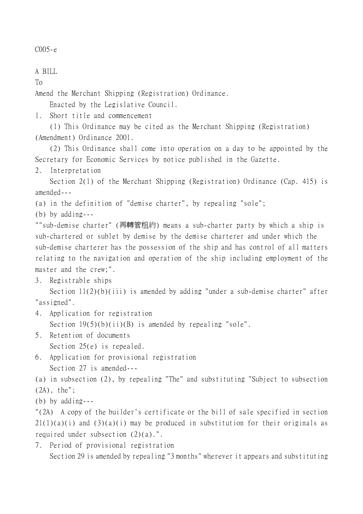C005-e

A BILL

To

Amend the Merchant Shipping (Registration) Ordinance.

Enacted by the Legislative Council.

1. Short title and commencement

(1) This Ordinance may be cited as the Merchant Shipping (Registration) (Amendment) Ordinance 2001.

(2) This Ordinance shall come into operation on a day to be appointed by the Secretary for Economic Services by notice published in the Gazette.

2. Interpretation

Section 2(1) of the Merchant Shipping (Registration) Ordinance (Cap. 415) is amended---

(a) in the definition of "demise charter", by repealing "sole";

(b) by adding---

""sub-demise charter" (再轉管租約) means a sub-charter party by which a ship is sub-chartered or sublet by demise by the demise charterer and under which the sub-demise charterer has the possession of the ship and has control of all matters relating to the navigation and operation of the ship including employment of the master and the crew;".

3. Registrable ships

Section 11(2)(b)(iii) is amended by adding "under a sub-demise charter" after "assigned".

4. Application for registration

Section  $19(5)(b)(ii)(B)$  is amended by repealing "sole".

- 5. Retention of documents Section 25(e) is repealed.
- 6. Application for provisional registration Section 27 is amended---

(a) in subsection (2), by repealing "The" and substituting "Subject to subsection (2A), the";

(b) by adding---

"(2A) A copy of the builder's certificate or the bill of sale specified in section  $21(1)(a)(i)$  and  $(3)(a)(i)$  may be produced in substitution for their originals as required under subsection (2)(a).".

7. Period of provisional registration

Section 29 is amended by repealing "3 months" wherever it appears and substituting